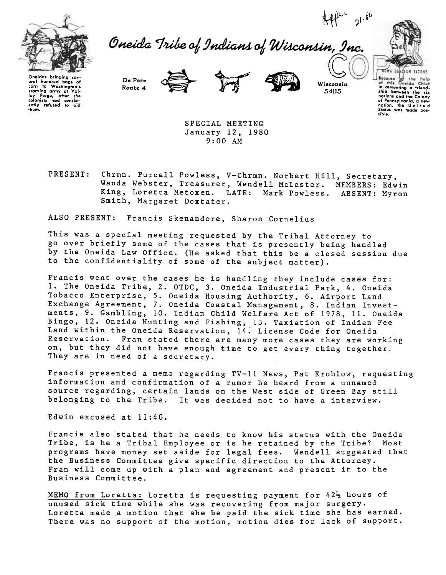





Onoidas bringing sovoral hundred bags of<br>corn to Washington's to Washington's starving army at Val-<br>Iey Forge, after the<br>colonists had consist-<br>ently refused to aid thom.

De Pere





54115

natians and the Calany of Pennsylvania. a new nation, the U nit e d States was made pos-.ible.

SPECIAL MEETING January 12, 1980 9:00 AM

Chrmn. Purcell Powless, V-Chrmn. Norbert Hill, Secretary, PRESENT: Wanda Webster, Treasurer, Wendell McLester. MEMBERS: Edwin King, Loretta Metoxen. LATE: Mark Powless. ABSENT: Myron Smith, Margaret Doxtater.

ALSO PRESENT: Francis Skenandore, Sharon Cornelius

This was a special meeting requested by the Tribal Attorney to go over briefly some of the cases that is presently being handled by the Oneida Law Office. (He asked that this be a closed session due to the confidentiality of some of the subject matter).

Francis went over the cases he is handling they include cases for: 1. The Oneida Tribe, 2. OTDC, 3. Oneida Industrial Park, 4. Oneida Tobacco Enterprise, 5. Oneida Housing Authority, 6. Airport Land Exchange Agreement, 7. Oneida Coastal Management, 8. Indian Investments, 9. Gambling, 10. Indian Child Welfare Act of 1978, 11. Oneida Bingo, 12. Oneida Hunting and Fishing, 13. Taxiation of Indian Fee Land within the Oneida Reservation, 14; License Code for Oneida Reservation. Fran stated there are many more cases they are working on, but they did not have enough time to get every thing together. They are in need of a secretary.

Francis presented a memo regarding TV-II News, Pat Krohlow, requesting information and confirmation of a rumor he heard from a unnamed source regarding, certain lands on the West side of Green Bay still belonging to the Tribe. It was decided not to have a interview.

Edwin excused at 11:40.

Francis also stated that he needs to know his status with the Oneida Tribe, is he a Tribal Employee or is he retained by the Tribe? Most programs have money set aside for legal fees. Wendell suggested that the Business Committee give specific direction to the Attorney. Fran will come up with a plan and agreement and present it. to the Business Committee.

MEMO from Loretta: Loretta is requesting payment for  $42\frac{1}{2}$  hours of unused sick time while she was recovering from major surgery. Loretta made a motion that she be paid the sick time she has earned. There was no support of the motion, motion dies for lack of support.